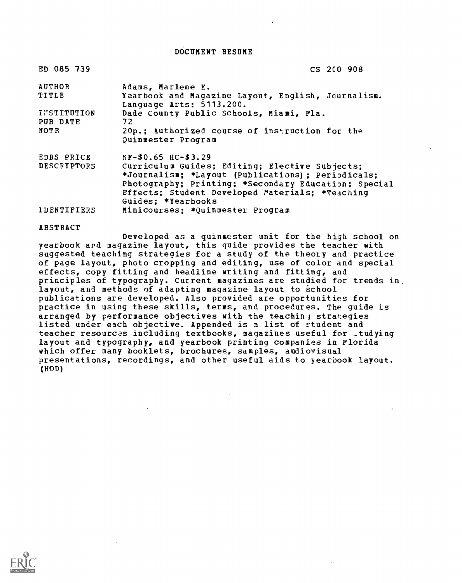DOCUMENT RESUME

| ED 085 739         | CS 200 908                                                                     |
|--------------------|--------------------------------------------------------------------------------|
| <b>AUTHOR</b>      | Adams, Marlene E.                                                              |
| TITLE              | Yearbook and Magazine Layout, English, Journalism.<br>Language Arts: 5113.200. |
| <b>INSTITUTION</b> | Dade County Public Schools, Miani, Fla.                                        |
| PUB DATE           | 72                                                                             |
| <b>NOTE</b>        | 20p.; Authorized course of instruction for the<br>Quinmester Program           |
| EDRS PRICE         | $EF-$0.65$ $HC-$3.29$                                                          |
| <b>DESCRIPTORS</b> | Curriculum Guides; Editing; Elective Subjects;                                 |
|                    | *Journalism; *Layout (Publications); Periodicals;                              |
|                    | Photography; Printing; *Secondary Education; Special                           |
|                    | Effects; Student Developed Materials; *Teaching                                |
|                    | Guides: *Yearbooks                                                             |
| <b>IDENTIFIERS</b> | Minicourses: *Quinmester Program                                               |

#### ABSTRACT

Developed as a guinmester unit for the high school on yearbook and magazine layout, this guide provides the teacher with suggested teaching strategies for a study of the theory and practice of page layout, photo cropping and editing, use of color and special effects, copy fitting and headline writing and fitting, and principles of typography. Current magazines are studied for trends in, layout, and methods of adapting magazine layout to school publications are developed. Also provided are opportunities for practice in using these skills, terms, and procedures. The guide is arranged by performance objectives with the teachin; strategies listed under each objective. Appended is a list of student and teacher resources including textbooks, magazines useful for -tudying layout and typography, and yearbook printing companies in Florida which offer many booklets, brochures, samples, audiovisual presentations, recordings, and other useful aids to yearbook layout. (HOD)

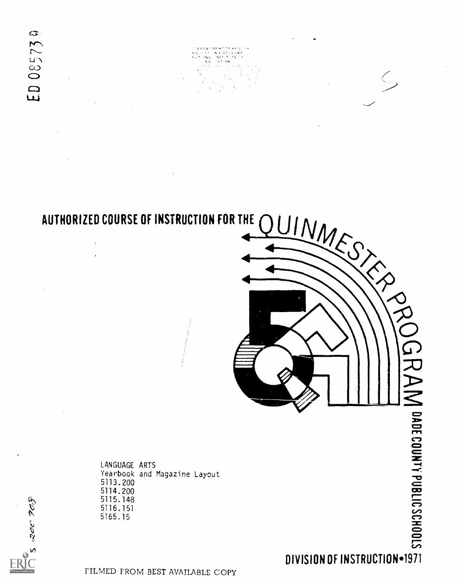$\Gamma$ 

 $5$  and  $765$ 

 $\frac{d}{d}$ 

AUTHORIZED COURSE OF INSTRUCTION FOR THE QUIN<sub>44</sub>  $\checkmark$ 

> LANGUAGE ARTS Yearbook and Magazine Layout 5113. 200 5114.200 5115.148 5116.151 5165.15

 $\subset$ 

FILMED FROM BEST AVAILABLE COPY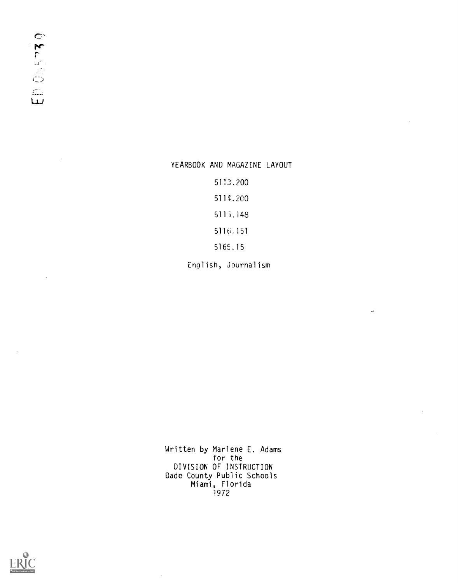$\mathbf{C}^*$  $7\overline{7}$  $\mathbb{U} \mathcal{E}$  $\omega^*$  $\mathbb{C}$  $\widehat{\mathbb{C}}$  $L_{\perp}$ 

 $\mathcal{A}^{\pm}$ 

 $\mathcal{A}$ 

## YEARBOOK AND MAGAZINE LAYOUT

5113.200

5114.200

5115.148

5116.151

516E.15

English, Journalism

 $\overline{a}$ 

 $\bar{z}$ 

Written by Marlene E. Adams for the DIVISION OF INSTRUCTION Dade County Public Schools Miami, Florida 1972

 $\ddot{\phantom{a}}$ 

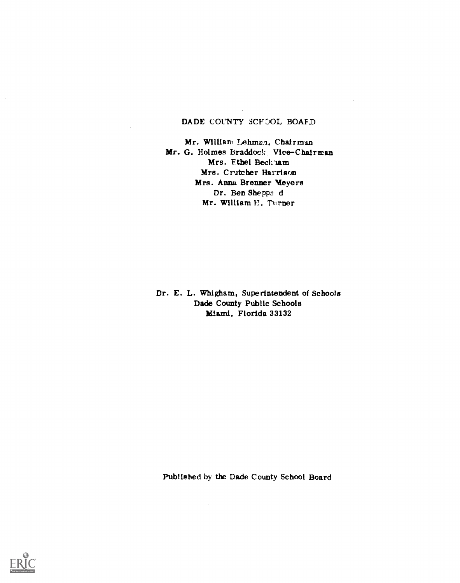# DADE COUNTY SCHOOL BOAFD

Mr. William Lehman, Chairman Mr. G. Holmes Braddock Vice-Chairman Mrs. Fthel Beck'Aam Mrs. Crutcher Harrison Mrs. Anna Brenner Meyers Dr. Ben Sheppa d Mr. William H. Turner

Dr. E. L. Whigham, Superintendent of Schools Dade County Public Schools Miami, Florida 33132

 $\sim 10^{-1}$ 

Published by the Dade County School Board

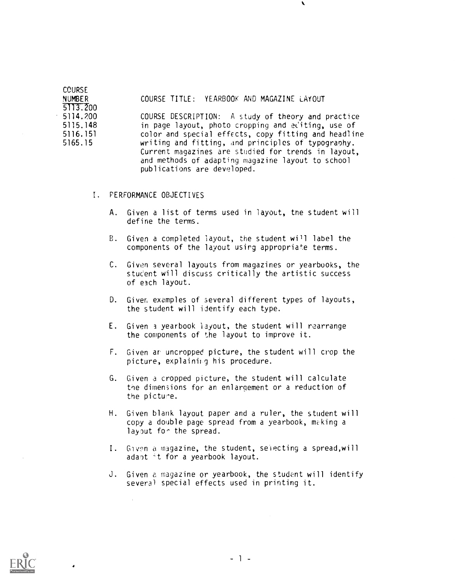| <b>CCURSE</b> |                                                      |  |
|---------------|------------------------------------------------------|--|
| <b>NUMBER</b> | COURSE TITLE: YEARBOOK AND MAGAZINE LAYOUT           |  |
| 5113.200      |                                                      |  |
| 5114.200      | COURSE DESCRIPTION: A study of theory and practice   |  |
| 5115.148      | in page layout, photo cropping and editing, use of   |  |
| 5116.151      | color and special effects, copy fitting and headline |  |
| 5165.15       | writing and fitting, and principles of typography.   |  |
|               | Current magazines are studied for trends in layout,  |  |
|               | and methods of adapting magazine layout to school    |  |
|               | publications are developed.                          |  |

I. PERFORMANCE OBJECTIVES

 $\sim$ 

- A. Given a list of terms used in layout, tne student will define the terms.
- B. Given a completed layout, the student will label the components of the layout usirg appropriate terms.
- C. Given several layouts from magazines or yearbooks, the stuc'ent will discuss critically the artistic success of each layout.
- D. Giver, examples of several different types of layouts, the student will identify each type.
- E. Given 3 yearbook layout, the student will rearrange the components of the layout to improve it.
- F. Given ar uncropped picture, the student will crop the picture, explaining his procedure.
- G. Given a cropped picture, the student will calculate the dimen3ions for an enlargement or a reduction of the picture.
- H. Given blank layout paper and a ruler, the student will copy a double page spread from a yearbook, making a layout for the spread.
- I. Given a magazine, the student, selecting a spread,will adapt 't for a yearbook layout.
- J. Given a magazine or yearbook, the student will identify several special effects used in printing it.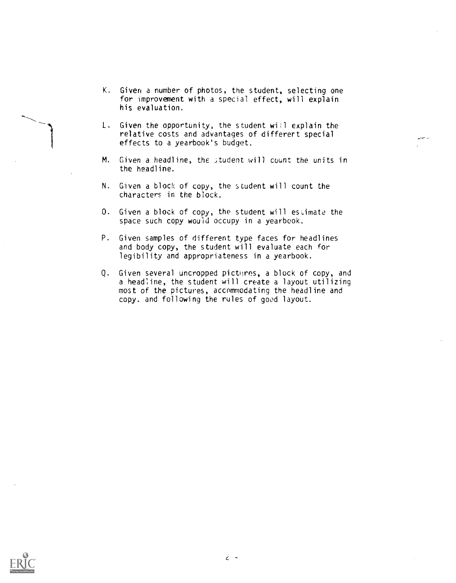- K. Given a number of photos, the student, selecting one for improvement with a special effect, will explain his evaluation.
- L. Given the opportunity, the student will explain the relative costs and advantages of differert special effects to a yearbook's budget.
- M. Given a headline, the student will count the units in the headline.
- N. Given a block of copy, the student will count the characters in the block.
- 0. Given a block of copy, the student will estimate the space such copy would occupy in a yearbook.
- P. Given samples of different type faces for headlines and body copy, the student will evaluate each for legibility and appropriateness in a yearbook.
- Q. Given several uncropped pictures, a block of copy, and a headline, the student will create a layout utilizing most of the pictures, accommodating the headline and copy, and following the rules of good layout.

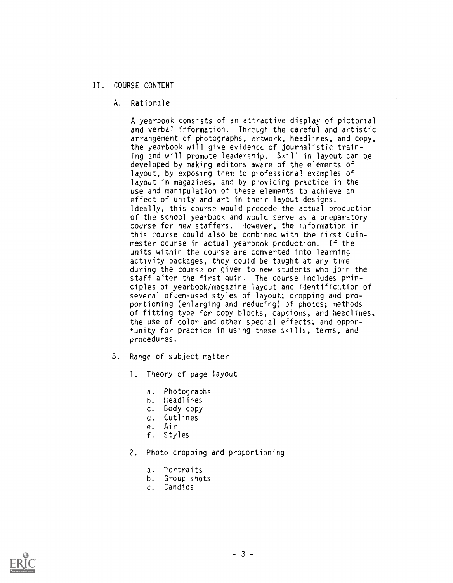# II. COURSE CONTENT

A. Rationale

A yearbook consists of an attractive display of pictorial and verbal information. Through the careful and artistic arrangement of photographs, artwork, headlines, and copy, the yearbook will give evidence of journalistic training and will promote leadership. Skill in layout can be developed by making editors aware of the elements of layout, by exposing them to professional examples of layout in magazines, and by providing practice in the use and manipulation of these elements to achieve an effect of unity and art in their layout designs. Ideally, this course would precede the actual production of the school yearbook and would serve as a preparatory course for new staffers. However, the information in this course could also be combined with the first quinmester course in actual yearbook production. If the units within the counse are converted into learning activity packages, they could be taught at any time during the course or given to new students who join the staff a'ter the first quin. The course includes principles of yearbook/magazine layout and identification of several often-used styles of layout; cropping and proportioning (enlarging and reducing) of photos; methods of fitting type for copy blocks, captions, and headlines; the use of color and other special effects; and opportunity for practice in using these skills, terms, and procedures.

- B. Range of subject matter
	- 1. Theory of page layout
		- a. Photographs
		- b. Headlines
		- c. Body copy
		- d. Cutlines
		- e. Air
		- f. Styles
	- 2. Photo cropping and proportioning
		- a. Portraits
		- b. Group shots
		- c. Candids

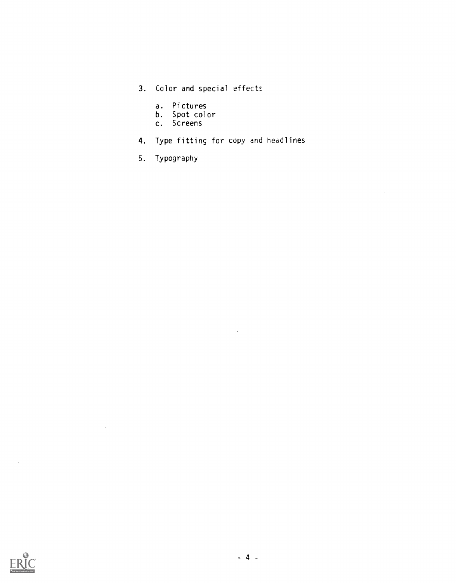- 3. Color and special effects
	- a. Pictures
	- b. Spot color
	- c. Screens
- 4. Type fitting for copy and headlines

 $\sim 10^4$ 

 $\sim 10^{-1}$ 

5. Typography



 $\sim$ 

 $\sim 10^{11}$  km  $^{-1}$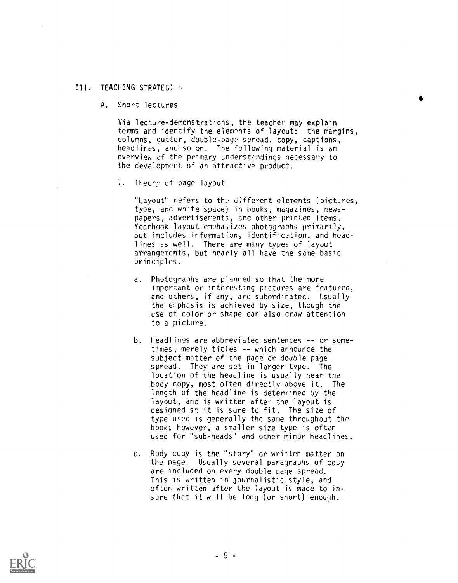### III. TEACHING STRATEG:

A. Short lectures

Via lec:ure-demonstrations, the teacher may explain terms and identify the elewnts of layout: the margins, columns, gutter, double-page spread, copy, captions, headlines, and so on. The following material is an overview of the primary understandings necessary to the cevelopment of an attractive product.

 $\mathcal{L}_{\mathbf{a}}$ Theory of page layout

> "Layout" refers to the different elements (pictures, type, and white space) in books, magazines, newspapers, advertisements, and other printed items. Yearbook layout emphasizes photographs primarily, but includes information, identification, and headlines as well. There are many types of layout arrangements, but nearly all have the same basic principles.

- a. Photographs are planned so that the more important or interesting pictures are featured, and others, if any, are subordinated. Usually the emphasis is achieved by size, though the use of color or shape can also draw attention to a picture.
- b. Headlines are abbreviated sentences -- or sometimes, merely titles -- which announce the subject matter of the page or double page spread. They are set in larger type. The location of the headline is usually near the body copy, most often directly above it. The length of the headline is determined by the layout, and is written after the layout is designed sp it is sure to fit. The size of type used is generally the same throughout the book; however, a smaller size type is often used for "sub-heads" and other minor headlines.
- c. Body copy is the "story" or written matter on the page. Usually several paragraphs of copy are included on every double page spread. This is written in journalistic style, and often written after the layout is made to insure that it will be long (or short) enough.

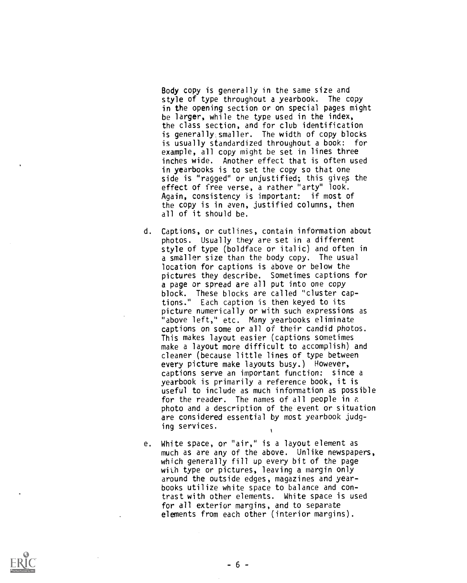Body copy is generally in the same size and style of type throughout a yearbook. The copy in the opening section or on special pages might be larger, while the type used in the index, the class section, and for club identification is generally,smaller. The width of copy blocks is usually standardized throughout a book: for example, all copy might be set in lines three inches wide. Another effect that is often used in yearbooks is to set the copy so that one side is "ragged" or unjustified; this gives the effect of free verse, a rather "arty" look. Again, consistency is important: if most of the copy is in even, justified columns, then all of it should be.

- d. Captions, or cutlines, contain information about photos. Usually they are set in a different style of type (boldface or italic) and often in a smaller size than the body copy. The usual location for captions is above or below the pictures they describe. Sometimes captions for a page or spread are all put into one copy block. These blocks are called "cluster captions." Each caption is then keyed to its picture numerically or with such expressions as "above left," etc. Many yearbooks eliminate captions on some or all of their candid photos. This makes layout easier (captions sometimes make a layout more difficult to accomplish) and cleaner (because little lines of type between every picture make layouts busy.) However, captions serve an important function: since a yearbook is primarily a reference book, it is useful to include as much information as possible for the reader. The names of all people in a photo and a description of the event or situation are considered essential by most yearbook judging services.
- e. White space, or "air," is a layout element as much as are any of the above. Unlike newspapers, which generally fill up every bit of the page with type or pictures, leaving a margin only around the outside edges, magazines and yearbooks utilize white space to balance and contrast with other elements. White space is used for all exterior margins, and to separate elements from each other (interior margins).

1

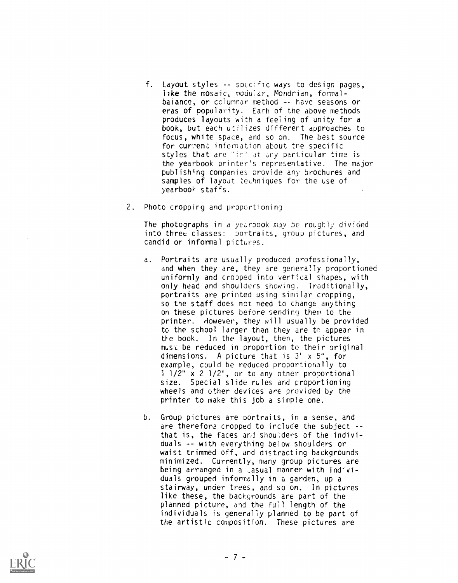- f. Layout styles -- specific ways to design pages, like the mosaic, modular, Mondrian, formalbalance, or columnar method -- have seasons or eras of popularity. Each of the above methods produces layouts with a feeling of unity for a book, but each utilizes different approaches to focus, white space, and so on. The best source for current information about the specific styles that are "in" at any particular time is the yearbook printer's representative. The major publishing companies provide any brochures and samples of layout techniques for the use of yearbook staffs.
- 2. Photo cropping and proportioning

The photographs in a yearbook may be roughly divided into three classes: portraits, group pictures, and candid or informal pictures.

- a. Portraits are usually produced professionally, and when they are, they are generally proportioned uniformly and cropped into vertical shapes, with only head and shoulders showing. Traditionally, portraits are printed using similar cropping, so the staff does not need to change anything on these pictures before sending them to the printer. However, they will usually be provided to the school larger than they are to appear in the book. In the layout, then, the pictures must be reduced in proportion to their original dimensions. A picture that is 3" x 5", for example, could be reduced proportionally to <sup>1</sup> 1/2" x 2 1/2", or to any other proportional size. Special slide rules and proportioning wheels and other devices are provided by the printer to make this job a simple one.
- b. Group pictures are portraits, in a sense, and are therefore cropped to include the subject - that is, the faces and shoulders of the individuals -- with everything below shoulders or waist trimmed off, and distracting backgrounds minimized. Currently, many group pictures are being arranged in a casual manner with individuals grouped informally in a garden, up a stairway, under trees, and so on. In pictures like these, the backgrounds are part of the planned picture, and the full length of the individuals is generally planned to be part of the artistic composition. These pictures are

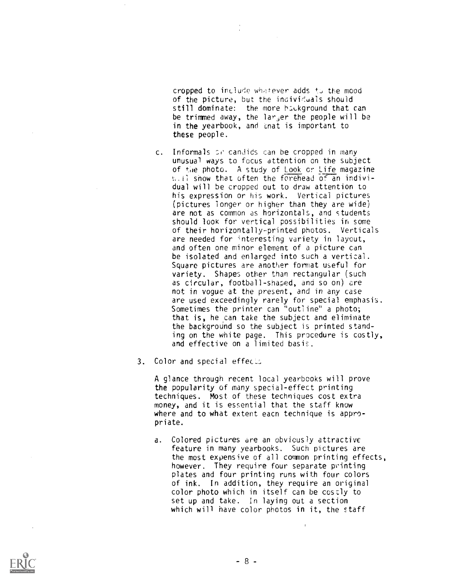cropped to include whatever adds to the mood of the picture, but the individuals should still dominate: the more houkground that can be trimmed away, the la $r_j$ er the people will be in the yearbook, and that is important to these people.

- c. Informals or candids can be cropped in many unusual ways to focus attention on the subject of t;ie photo. A study of Look or Life magazine  $s$ . If show that often the forehead of an individual will be cropped out to draw attention to his expression or his work. Vertical pictures (pictures longer or higher than they are wide) are not as common as horizontals, and students should look for vertical possibilities in some of their horizontally-printed photos. Verticals are needed for interesting variety in layout, and often one minor element of a picture can be isolated and enlarged into such a vertical. Square pictures are another format useful for variety. Shapes other than rectangular (such as circular, football-shaped, and so on) are not in vogue at the present, and in any case are used exceedingly rarely for special emphasis. Sometimes the printer can "outline" a photo; that is, he can take the subject and eliminate the background so the subject is printed standing on the white page. This procedure is costly, and effective on a limited basis.
- 3. Color and special effects

A glance through recent local yearbooks will prove the popularity of many special-effect printing techniques. Most of these techniques cost extra money, and it is essential that the staff know where and to what extent eacn technique is appropriate.

a. Colored pictures are an obviously attractive feature in many yearbooks. Such pictures are the most expensive of all common printing effects, however. They require four separate printing plates and four printing runs with four colors of ink. In addition, they require an original color photo which in itself can be costly to set up and take. In laying out a section which will have color photos in it, the staff

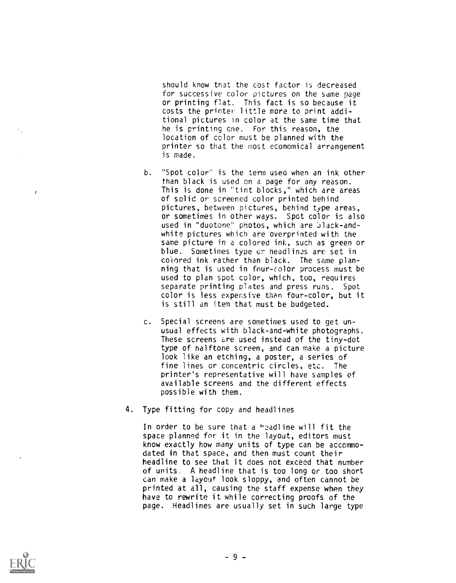should know that the cost factor is decreased for successive color pictures on the same page or printing flat. This fact is so because it costs the printer little more to print additional pictures in color at the same time that he is printing cne. For this reason, the location of color must be planned with the printer so that the most economical arrangement is made.

- b. "Spot color" is the term used when an ink other than black is used on a page for any reason. This is done in "tint blocks," which are areas of solid or screened color printed behind pictures, between pictures, behind type areas, or sometimes in other ways. Spot color is also used in "duotone" photos, which are black-andwhite pictures which are overprinted with the same picture in a colored ink, such as green or blue. Sometimes type cr headlines are set in colored ink rather than black. The same planning that is used in four-color process must be used to plan spot color, which, too, requires separate printing plates and press runs. Spot color is less expensive than four-color, but it is still an item that must be budgeted.
- c. Special screens are sometimes used to get unusual effects with black-and-white photographs. These screens are used instead of the tiny-dot type of halftone screen, and can make a picture look like an etching, a poster, a series of fine lines or concentric circles, etc. The printer's representative will have samples of available screens and the different effects possible with them.
- 4. Type fitting for copy and headlines

In order to be sure that a  $h$ 2adline will fit the space planned for it in the layout, editors must know exactly how many units of type can be accommodated in that space, and then must count their headline to see that it does not exceed that number of units. A headline that is too long or too short can make a layout look sloppy, and often cannot be printed at all, causing the staff expense when they have to rewrite it while correcting proofs of the page. Headlines are usually set in such large type



 $\mathbf{L}$ 

 $\overline{1}$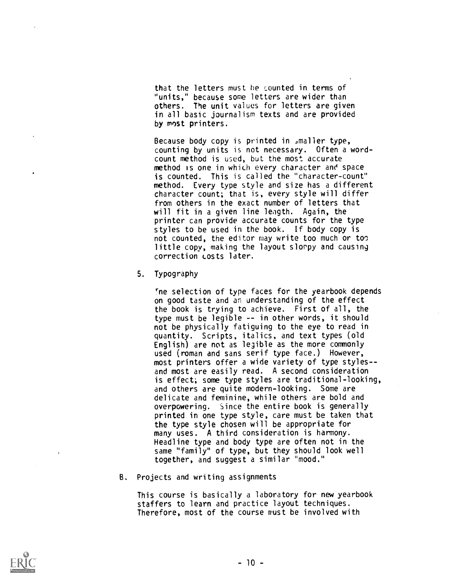that the letters must he counted in terms of "units," because some letters are wider than others. The unit values for letters are given in all basic journalism texts and are provided by most printers.

Because body copy is printed in ,maller type, counting by units is not necessary. Often a wordcount method is used, but the most accurate method is one in which every character and space is counted. This is called the "character-count" method. Every type style and size has a different character count; that is, every style will differ from others in the exact number of letters that will fit in a given line length. Again, the printer can provide accurate counts for the type styles to be used in the book. If body copy is not counted, the editor may write too much or too little copy, making the layout slorpy and causing correction costs later.

5. Typography

Ine selection of type faces for the yearbook depends on good taste and an understanding of the effect the book is trying to achieve. First of all, the type must be legible -- in other words, it should not be physically fatiguing to the eye to read in quantity. Scripts, italics, and text types (old English) are not as legible as the more commonly used (roman and sans serif type face.) However, most printers offer a wide variety of type styles-and most are easily read. A second consideration is effect; some type styles are traditional-looking, and others are quite modern-looking. Some are delicate and feminine, while others are bold and overpowering. Since the entire book is generally printed in one type style, care must be taken that the type style chosen will be appropriate for many uses. A third consideration is harmony. Headline type and body type are often not in the same "family" of type, but they should look well together, and suggest a similar "mood."

B. Projects and writing assignments

This course is basically a laboratory for new yearbook staffers to learn and practice layout techniques. Therefore, most of the course must be involved with

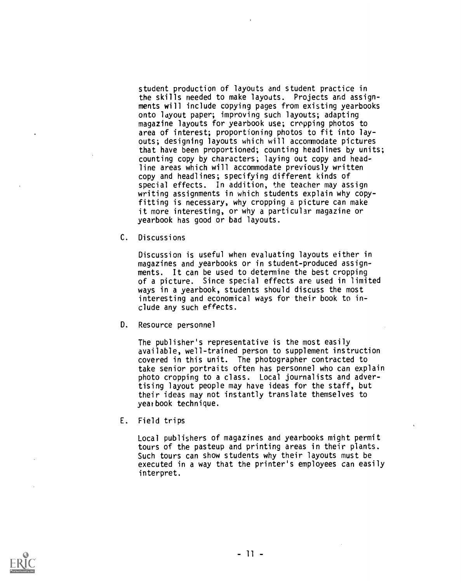student production of layouts and student practice in the skills needed to make layouts. Projects and assignments will include copying pages from existing yearbooks onto layout paper; improving such layouts; adapting magazine layouts for yearbook use; cropping photos to area of interest; proportioning photos to fit into layouts; designing layouts which will accommodate pictures that have been proportioned; counting headlines by units; counting copy by characters; laying out copy and headline areas which will accommodate previously written copy and headlines; specifying different kinds of special effects. In addition, the teacher may assign writing assignments in which students explain why copyfitting is necessary, why cropping a picture can make it more interesting, or why a particular magazine or yearbook has good or bad layouts.

C. Discussions

Discussion is useful when evaluating layouts either in magazines and yearbooks or in student-produced assignments. It can be used to determine the best cropping of a picture. Since special effects are used in limited ways in a yearbook, students should discuss the most interesting and economical ways for their book to include any such effects.

D. Resource personnel

The publisher's representative is the most easily available, well-trained person to supplement instruction covered in this unit. The photographer contracted to take senior portraits often has personnel who can explain photo cropping to a class. Local journalists and advertising layout people may have ideas for the staff, but their ideas may not instantly translate themselves to yearbook technique.

E. Field trips

Local publishers of magazines and yearbooks might permit tours of the pasteup and printing areas in their plants. Such tours can show students why their layouts must be executed in a way that the printer's employees can easily interpret.

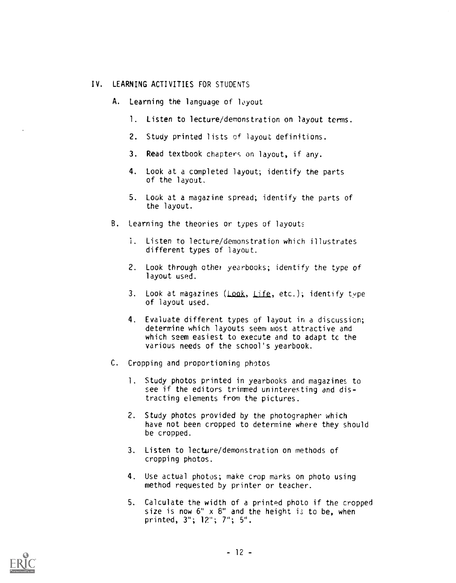## IV. LEARNING ACTIVITIES FOR STUDENTS

- A. Learning the language of layout
	- 1. Listen to lecture/demonstration on layout terms.
	- 2. Study printed lists of layout definitions.
	- 3. Read textbook chapters on layout, if any.
	- 4. Look at a completed layout; identify the parts of the layout.
	- 5. Look at a magazine spread; identify the parts of the layout.
- B. Learning the theories or types of layouts
	- 1. Listen to lecture/demonstration which illustrates different types of layout.
	- 2. Look through other yearbooks; identify the type of layout used.
	- 3. Look at magazines (Look, Life, etc.); identify type of layout used.
	- 4. Evaluate different types of layout in a discussion; determine which layouts seem most attractive and which seem easiest to execute and to adapt to the various needs of the school's yearbook.
- C. Cropping and proportioning photos
	- 1. Study photos printed in yearbooks and magazines to see if the editors trimmed uninteresting and distracting elements from the pictures.
	- 2. Study photos provided by the photographer which have not been cropped to determine where they should be cropped.
	- 3. Listen to lecture/demonstration on methods of cropping photos.
	- 4. Use actual photos; make crop marks on photo using method requested by printer or teacher.
	- 5. Calculate the width of a printed photo if the cropped size is now  $6" \times 8"$  and the height is to be, when printed, 3"; 12"; 7"; 5".

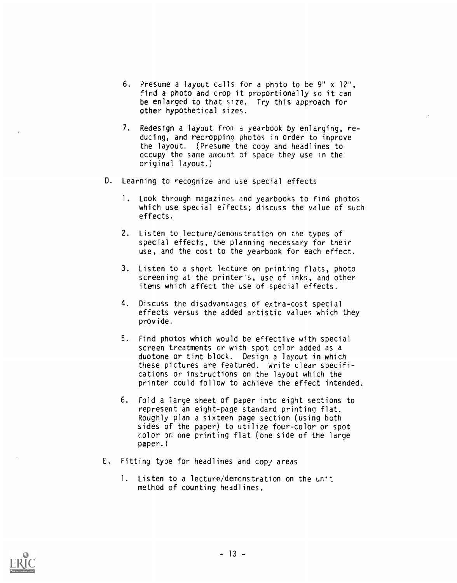- 6. Presume a layout calls for a photo to be 9" x 12", find a photo and crop it proportionally so it can be enlarged to that size. Try this approach for other hypothetical sizes.
- 7. Redesign a layout from a yearbook by enlarging, reducing, and recroppino photos in order to improve the layout. (Presume the copy and headlines to occupy the same amount of space they use in the original layout.)
- D. Learning to recognize and use special effects
	- 1. Look through magazines and yearbooks to find photos which use special effects; discuss the value of such effects.
	- 2. Listen to lecture/demonstration on the types of special effects, the planning necessary for their use, and the cost to the yearbook for each effect.
	- 3. Listen to a short lecture on printing flats, photo screening at the printer's, use of inks, and other items which affect the use of special effects.
	- 4. Discuss the disadvantages of extra-cost special effects versus the added artistic values which they provide.
	- 5. Find photos which would be effective with special screen treatments or with spot color added as a duotone or tint block. Design a layout in which these pictures are featured. Write clear specifications or instructions on the layout which the printer could follow to achieve the effect intended.
	- 6. Fold a large sheet of paper into eight sections to represent an eight-page standard printing flat. Roughly plan a sixteen page section (using both sides of the paper) to utilize four-color or spot color on one printing flat (one side of the large paper.)
- E. Fitting type for headlines and copy areas
	- 1. Listen to a lecture/demonstration on the unit method of counting headlines.

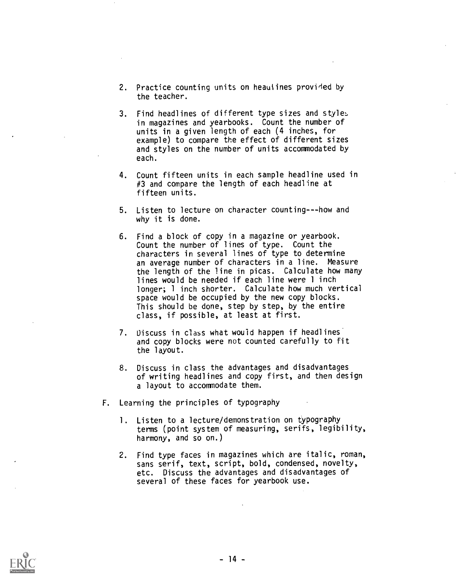- 2. Practice counting units on heauiines provided by the teacher.
- 3. Find headlines of different type sizes and styles in magazines and yearbooks. Count the number of units in a given length of each (4 inches, for example) to compare the effect of different sizes and styles on the number of units accommodated by each.
- 4. Count fifteen units in each sample headline used in #3 and compare the length of each headline at fifteen units.
- 5. Listen to lecture on character counting---how and why it is done.
- 6. Find a block of copy in a magazine or yearbook. Count the number of lines of type. Count the characters in several lines of type to determine an average number of characters in a line. Measure the length of the line in picas. Calculate how many lines would be needed if each line were 1 inch longer; 1 inch shorter. Calculate how much vertical space would be occupied by the new copy blocks. This should be done, step by step, by the entire class, if possible, at least at first.
- 7. Discuss in class what would happen if headlines and copy blocks were not counted carefully to fit the layout.
- 8. Discuss in class the advantages and disadvantages of writing headlines and copy first, and then design a layout to accommodate them.
- F. Learning the principles of typography
	- 1. Listen to a lecture/demonstration on typography terms (point system of measuring, serifs, legibility, harmony, and so on.)
	- 2. Find type faces in magazines which are italic, roman, sans serif, text, script, bold, condensed, novelty, etc. Discuss the advantages and disadvantages of several of these faces for yearbook use.

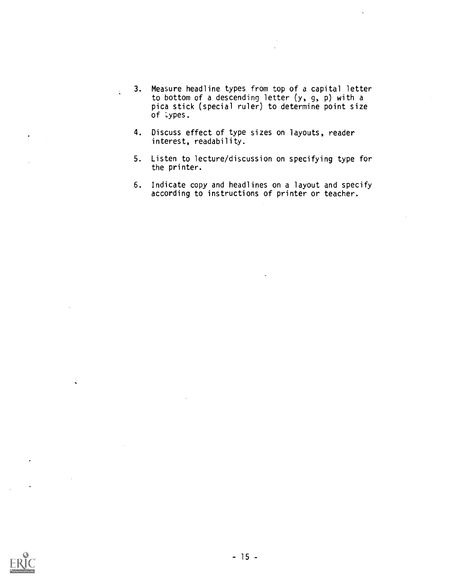- 3. Measure headline types from top of a capital letter to bottom of a descending letter (y, g, p) with a pica stick (special ruler) to determine point size of types.
- 4. Discuss effect of type sizes on layouts, reader interest, readability.

 $\ddot{\phantom{a}}$ 

- 5. Listen to lecture/discussion on specifying type for the printer.
- 6. Indicate copy and headlines on a layout and specify according to instructions of printer or teacher.

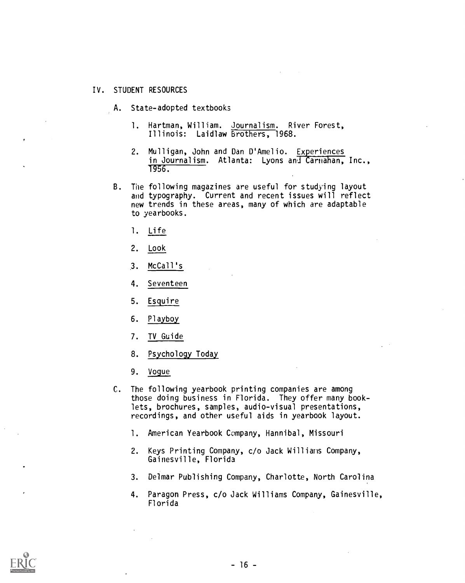### IV. STUDENT RESOURCES

- A. State-adopted textbooks
	- 1. Hartman, William. Journalism. River Forest, Illinois: Laidlaw Brothers, 1968.
	- 2. Mulligan, John and Dan D'Amelio. Experiences in Journalism. Atlanta: Lyons and Carnahan, Inc., 1956.
- B. The following magazines are useful for studying layout and typography. Current and recent issues will reflect new trends in these areas, many of which are adaptable to yearbooks.
	- 1. Life
	- 2. Look
	- 3. McCall's
	- 4. Seventeen
	- 5. Esquire
	- 6. Playboy
	- 7. TV Guide
	- 8. Psychology Today
	- 9. Vogue
- C. The following yearbook printing companies are among those doing business in Florida. They offer many booklets, brochures, samples, audio-visual presentations, recordings, and other useful aids in yearbook layout.
	- 1. American Yearbook Company, Hannibal, Missouri
	- 2. Keys Printing Company, c/o Jack Willians Company, Gainesville, Florida
	- 3. Delmar Publishing Company, Charlotte, North Carolina
	- 4. Paragon Press, c/o Jack Williams Company, Gainesville, Florida